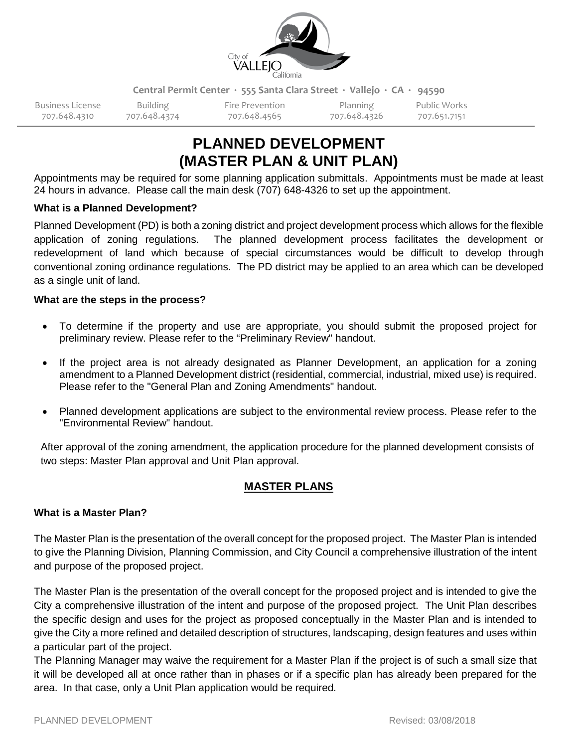

**Central Permit Center ∙ 555 Santa Clara Street ∙ Vallejo ∙ CA ∙ 94590**

Business License Building Fire Prevention Planning Public Works 707.648.4310 707.648.4374 707.648.4565 707.648.4326 707.651.7151

# **PLANNED DEVELOPMENT (MASTER PLAN & UNIT PLAN)**

Appointments may be required for some planning application submittals. Appointments must be made at least 24 hours in advance. Please call the main desk (707) 648-4326 to set up the appointment.

## **What is a Planned Development?**

Planned Development (PD) is both a zoning district and project development process which allows for the flexible application of zoning regulations. The planned development process facilitates the development or redevelopment of land which because of special circumstances would be difficult to develop through conventional zoning ordinance regulations. The PD district may be applied to an area which can be developed as a single unit of land.

## **What are the steps in the process?**

- To determine if the property and use are appropriate, you should submit the proposed project for preliminary review. Please refer to the "Preliminary Review" handout.
- If the project area is not already designated as Planner Development, an application for a zoning amendment to a Planned Development district (residential, commercial, industrial, mixed use) is required. Please refer to the "General Plan and Zoning Amendments" handout.
- Planned development applications are subject to the environmental review process. Please refer to the "Environmental Review" handout.

After approval of the zoning amendment, the application procedure for the planned development consists of two steps: Master Plan approval and Unit Plan approval.

## **MASTER PLANS**

## **What is a Master Plan?**

The Master Plan is the presentation of the overall concept for the proposed project. The Master Plan is intended to give the Planning Division, Planning Commission, and City Council a comprehensive illustration of the intent and purpose of the proposed project.

The Master Plan is the presentation of the overall concept for the proposed project and is intended to give the City a comprehensive illustration of the intent and purpose of the proposed project. The Unit Plan describes the specific design and uses for the project as proposed conceptually in the Master Plan and is intended to give the City a more refined and detailed description of structures, landscaping, design features and uses within a particular part of the project.

The Planning Manager may waive the requirement for a Master Plan if the project is of such a small size that it will be developed all at once rather than in phases or if a specific plan has already been prepared for the area. In that case, only a Unit Plan application would be required.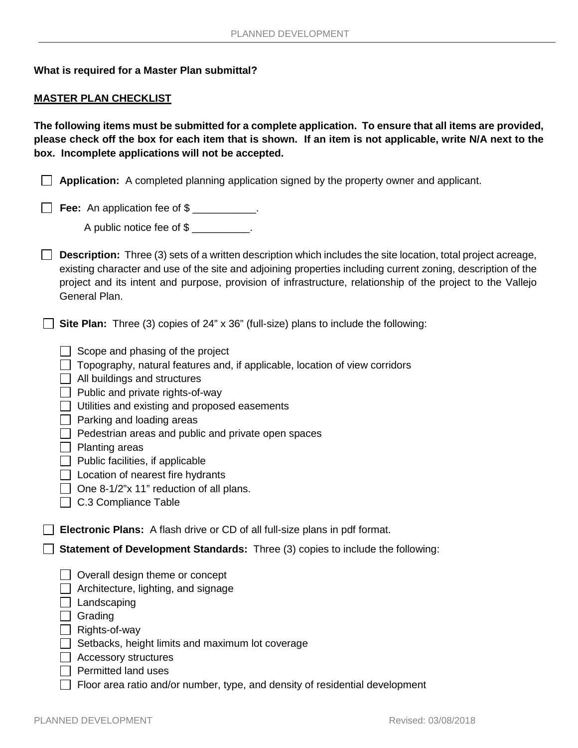### **What is required for a Master Plan submittal?**

### **MASTER PLAN CHECKLIST**

**The following items must be submitted for a complete application. To ensure that all items are provided, please check off the box for each item that is shown. If an item is not applicable, write N/A next to the box. Incomplete applications will not be accepted.** 

**Application:** A completed planning application signed by the property owner and applicant.

**Fee:** An application fee of \$

A public notice fee of \$

**Description:** Three (3) sets of a written description which includes the site location, total project acreage, existing character and use of the site and adjoining properties including current zoning, description of the project and its intent and purpose, provision of infrastructure, relationship of the project to the Vallejo General Plan.

**Site Plan:** Three (3) copies of 24" x 36" (full-size) plans to include the following:

- $\Box$  Scope and phasing of the project
- $\Box$  Topography, natural features and, if applicable, location of view corridors
- $\Box$  All buildings and structures
- $\Box$  Public and private rights-of-way
- $\Box$  Utilities and existing and proposed easements
- $\Box$  Parking and loading areas
- $\Box$  Pedestrian areas and public and private open spaces
- $\Box$  Planting areas
- $\Box$  Public facilities, if applicable
- $\Box$  Location of nearest fire hydrants
- $\Box$  One 8-1/2"x 11" reduction of all plans.
- □ C.3 Compliance Table

**Electronic Plans:** A flash drive or CD of all full-size plans in pdf format.

**Statement of Development Standards:** Three (3) copies to include the following:

- $\Box$  Overall design theme or concept
- $\Box$  Architecture, lighting, and signage
- $\Box$  Landscaping
- **Srading**
- $\Box$  Rights-of-way
- $\Box$  Setbacks, height limits and maximum lot coverage
- Accessory structures
- $\Box$  Permitted land uses
- $\Box$  Floor area ratio and/or number, type, and density of residential development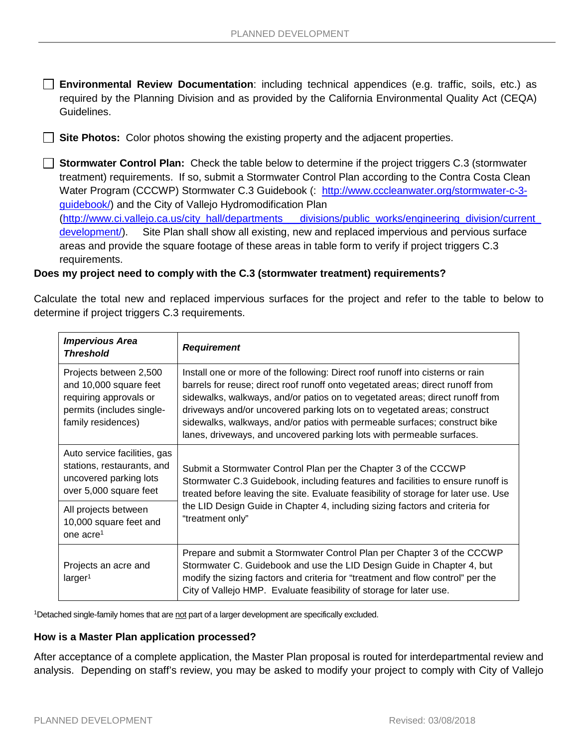**Environmental Review Documentation**: including technical appendices (e.g. traffic, soils, etc.) as required by the Planning Division and as provided by the California Environmental Quality Act (CEQA) Guidelines.

**Site Photos:** Color photos showing the existing property and the adjacent properties.

**Stormwater Control Plan:** Check the table below to determine if the project triggers C.3 (stormwater treatment) requirements. If so, submit a Stormwater Control Plan according to the Contra Costa Clean Water Program (CCCWP) Stormwater C.3 Guidebook (: [http://www.cccleanwater.org/stormwater-c-3](http://www.cccleanwater.org/stormwater-c-3-guidebook/) [guidebook/\)](http://www.cccleanwater.org/stormwater-c-3-guidebook/) and the City of Vallejo Hydromodification Plan [\(http://www.ci.vallejo.ca.us/city\\_hall/departments\\_\\_\\_divisions/public\\_works/engineering\\_division/current\\_](http://www.ci.vallejo.ca.us/city_hall/departments___divisions/public_works/engineering_division/current_development/) [development/\)](http://www.ci.vallejo.ca.us/city_hall/departments___divisions/public_works/engineering_division/current_development/). Site Plan shall show all existing, new and replaced impervious and pervious surface areas and provide the square footage of these areas in table form to verify if project triggers C.3 requirements.

## **Does my project need to comply with the C.3 (stormwater treatment) requirements?**

Calculate the total new and replaced impervious surfaces for the project and refer to the table to below to determine if project triggers C.3 requirements.

| <b>Impervious Area</b><br><b>Threshold</b>                                                                                    | <b>Requirement</b>                                                                                                                                                                                                                                                                                                                                                                                                                                                                  |  |
|-------------------------------------------------------------------------------------------------------------------------------|-------------------------------------------------------------------------------------------------------------------------------------------------------------------------------------------------------------------------------------------------------------------------------------------------------------------------------------------------------------------------------------------------------------------------------------------------------------------------------------|--|
| Projects between 2,500<br>and 10,000 square feet<br>requiring approvals or<br>permits (includes single-<br>family residences) | Install one or more of the following: Direct roof runoff into cisterns or rain<br>barrels for reuse; direct roof runoff onto vegetated areas; direct runoff from<br>sidewalks, walkways, and/or patios on to vegetated areas; direct runoff from<br>driveways and/or uncovered parking lots on to vegetated areas; construct<br>sidewalks, walkways, and/or patios with permeable surfaces; construct bike<br>lanes, driveways, and uncovered parking lots with permeable surfaces. |  |
| Auto service facilities, gas<br>stations, restaurants, and<br>uncovered parking lots<br>over 5,000 square feet                | Submit a Stormwater Control Plan per the Chapter 3 of the CCCWP<br>Stormwater C.3 Guidebook, including features and facilities to ensure runoff is<br>treated before leaving the site. Evaluate feasibility of storage for later use. Use                                                                                                                                                                                                                                           |  |
| All projects between<br>10,000 square feet and<br>one $\arccos 1$                                                             | the LID Design Guide in Chapter 4, including sizing factors and criteria for<br>"treatment only"                                                                                                                                                                                                                                                                                                                                                                                    |  |
| Projects an acre and<br>larger <sup>1</sup>                                                                                   | Prepare and submit a Stormwater Control Plan per Chapter 3 of the CCCWP<br>Stormwater C. Guidebook and use the LID Design Guide in Chapter 4, but<br>modify the sizing factors and criteria for "treatment and flow control" per the<br>City of Vallejo HMP. Evaluate feasibility of storage for later use.                                                                                                                                                                         |  |

<sup>1</sup>Detached single-family homes that are not part of a larger development are specifically excluded.

#### **How is a Master Plan application processed?**

After acceptance of a complete application, the Master Plan proposal is routed for interdepartmental review and analysis. Depending on staff's review, you may be asked to modify your project to comply with City of Vallejo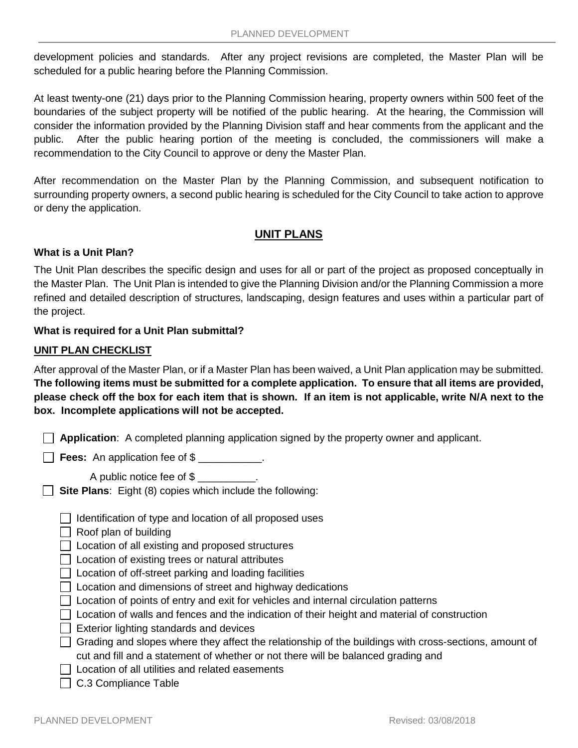development policies and standards. After any project revisions are completed, the Master Plan will be scheduled for a public hearing before the Planning Commission.

At least twenty-one (21) days prior to the Planning Commission hearing, property owners within 500 feet of the boundaries of the subject property will be notified of the public hearing. At the hearing, the Commission will consider the information provided by the Planning Division staff and hear comments from the applicant and the public. After the public hearing portion of the meeting is concluded, the commissioners will make a recommendation to the City Council to approve or deny the Master Plan.

After recommendation on the Master Plan by the Planning Commission, and subsequent notification to surrounding property owners, a second public hearing is scheduled for the City Council to take action to approve or deny the application.

## **UNIT PLANS**

## **What is a Unit Plan?**

The Unit Plan describes the specific design and uses for all or part of the project as proposed conceptually in the Master Plan. The Unit Plan is intended to give the Planning Division and/or the Planning Commission a more refined and detailed description of structures, landscaping, design features and uses within a particular part of the project.

## **What is required for a Unit Plan submittal?**

## **UNIT PLAN CHECKLIST**

After approval of the Master Plan, or if a Master Plan has been waived, a Unit Plan application may be submitted. **The following items must be submitted for a complete application. To ensure that all items are provided, please check off the box for each item that is shown. If an item is not applicable, write N/A next to the box. Incomplete applications will not be accepted.** 

|  |  |  |  |  | $\Box$ Application: A completed planning application signed by the property owner and applicant. |
|--|--|--|--|--|--------------------------------------------------------------------------------------------------|
|--|--|--|--|--|--------------------------------------------------------------------------------------------------|

**Fees:** An application fee of \$

A public notice fee of \$

**Site Plans:** Eight (8) copies which include the following:

- $\Box$  Identification of type and location of all proposed uses
- $\Box$  Roof plan of building

 $\Box$  Location of all existing and proposed structures

- $\Box$  Location of existing trees or natural attributes
- $\Box$  Location of off-street parking and loading facilities
- $\Box$  Location and dimensions of street and highway dedications
- $\Box$  Location of points of entry and exit for vehicles and internal circulation patterns
- $\Box$  Location of walls and fences and the indication of their height and material of construction
- $\Box$  Exterior lighting standards and devices
- $\Box$  Grading and slopes where they affect the relationship of the buildings with cross-sections, amount of cut and fill and a statement of whether or not there will be balanced grading and
- $\Box$  Location of all utilities and related easements
- C.3 Compliance Table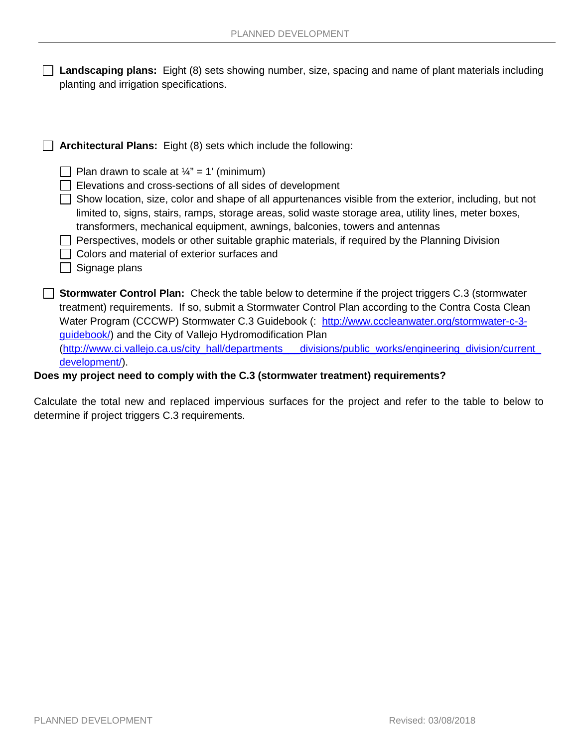|                                         | $\Box$ Landscaping plans: Eight (8) sets showing number, size, spacing and name of plant materials including |
|-----------------------------------------|--------------------------------------------------------------------------------------------------------------|
| planting and irrigation specifications. |                                                                                                              |

| <b>Architectural Plans:</b> Eight (8) sets which include the following:                                                                                                                                                                                                                                                                                                                                                                                                                                                                                                                   |
|-------------------------------------------------------------------------------------------------------------------------------------------------------------------------------------------------------------------------------------------------------------------------------------------------------------------------------------------------------------------------------------------------------------------------------------------------------------------------------------------------------------------------------------------------------------------------------------------|
| Plan drawn to scale at $\frac{1}{4}$ " = 1' (minimum)<br>Elevations and cross-sections of all sides of development<br>Show location, size, color and shape of all appurtenances visible from the exterior, including, but not<br>limited to, signs, stairs, ramps, storage areas, solid waste storage area, utility lines, meter boxes,<br>transformers, mechanical equipment, awnings, balconies, towers and antennas<br>Perspectives, models or other suitable graphic materials, if required by the Planning Division<br>Colors and material of exterior surfaces and<br>Signage plans |
| <b>Stormwater Control Plan:</b> Check the table below to determine if the project triggers C.3 (stormwater<br>treatment) requirements. If so, submit a Stormwater Control Plan according to the Contra Costa Clean<br>Water Program (CCCWP) Stormwater C.3 Guidebook (: http://www.cccleanwater.org/stormwater-c-3-<br>guidebook/) and the City of Vallejo Hydromodification Plan<br>(http://www.ci.vallejo.ca.us/city_hall/departments_<br>_divisions/public_works/engineering_division/current_<br>development/).                                                                       |

**Does my project need to comply with the C.3 (stormwater treatment) requirements?**

Calculate the total new and replaced impervious surfaces for the project and refer to the table to below to determine if project triggers C.3 requirements.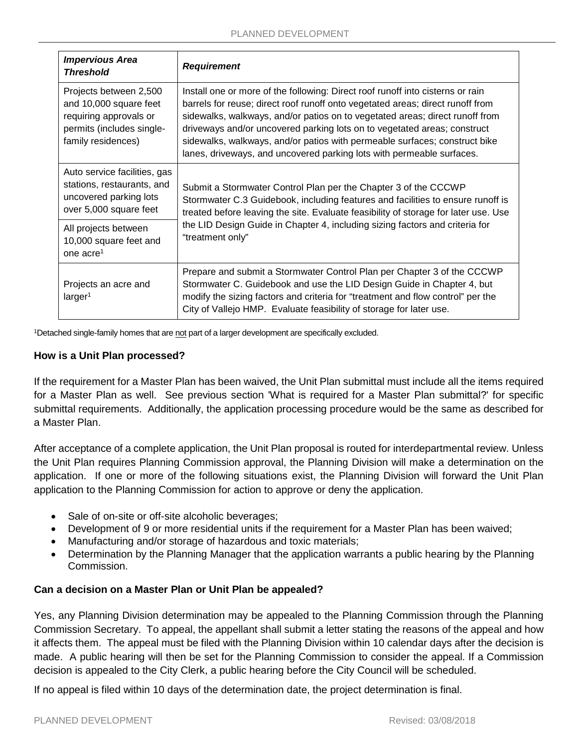| <b>Impervious Area</b><br><b>Threshold</b>                                                                                    | <b>Requirement</b>                                                                                                                                                                                                                                                                                                                                                                                                                                                                  |  |
|-------------------------------------------------------------------------------------------------------------------------------|-------------------------------------------------------------------------------------------------------------------------------------------------------------------------------------------------------------------------------------------------------------------------------------------------------------------------------------------------------------------------------------------------------------------------------------------------------------------------------------|--|
| Projects between 2,500<br>and 10,000 square feet<br>requiring approvals or<br>permits (includes single-<br>family residences) | Install one or more of the following: Direct roof runoff into cisterns or rain<br>barrels for reuse; direct roof runoff onto vegetated areas; direct runoff from<br>sidewalks, walkways, and/or patios on to vegetated areas; direct runoff from<br>driveways and/or uncovered parking lots on to vegetated areas; construct<br>sidewalks, walkways, and/or patios with permeable surfaces; construct bike<br>lanes, driveways, and uncovered parking lots with permeable surfaces. |  |
| Auto service facilities, gas<br>stations, restaurants, and<br>uncovered parking lots<br>over 5,000 square feet                | Submit a Stormwater Control Plan per the Chapter 3 of the CCCWP<br>Stormwater C.3 Guidebook, including features and facilities to ensure runoff is<br>treated before leaving the site. Evaluate feasibility of storage for later use. Use<br>the LID Design Guide in Chapter 4, including sizing factors and criteria for<br>"treatment only"                                                                                                                                       |  |
| All projects between<br>10,000 square feet and<br>one acre <sup>1</sup>                                                       |                                                                                                                                                                                                                                                                                                                                                                                                                                                                                     |  |
| Projects an acre and<br>larger <sup>1</sup>                                                                                   | Prepare and submit a Stormwater Control Plan per Chapter 3 of the CCCWP<br>Stormwater C. Guidebook and use the LID Design Guide in Chapter 4, but<br>modify the sizing factors and criteria for "treatment and flow control" per the<br>City of Vallejo HMP. Evaluate feasibility of storage for later use.                                                                                                                                                                         |  |

<sup>1</sup>Detached single-family homes that are not part of a larger development are specifically excluded.

## **How is a Unit Plan processed?**

If the requirement for a Master Plan has been waived, the Unit Plan submittal must include all the items required for a Master Plan as well. See previous section 'What is required for a Master Plan submittal?' for specific submittal requirements. Additionally, the application processing procedure would be the same as described for a Master Plan.

After acceptance of a complete application, the Unit Plan proposal is routed for interdepartmental review. Unless the Unit Plan requires Planning Commission approval, the Planning Division will make a determination on the application. If one or more of the following situations exist, the Planning Division will forward the Unit Plan application to the Planning Commission for action to approve or deny the application.

- Sale of on-site or off-site alcoholic beverages;
- Development of 9 or more residential units if the requirement for a Master Plan has been waived;
- Manufacturing and/or storage of hazardous and toxic materials;
- Determination by the Planning Manager that the application warrants a public hearing by the Planning Commission.

## **Can a decision on a Master Plan or Unit Plan be appealed?**

Yes, any Planning Division determination may be appealed to the Planning Commission through the Planning Commission Secretary. To appeal, the appellant shall submit a letter stating the reasons of the appeal and how it affects them. The appeal must be filed with the Planning Division within 10 calendar days after the decision is made. A public hearing will then be set for the Planning Commission to consider the appeal. If a Commission decision is appealed to the City Clerk, a public hearing before the City Council will be scheduled.

If no appeal is filed within 10 days of the determination date, the project determination is final.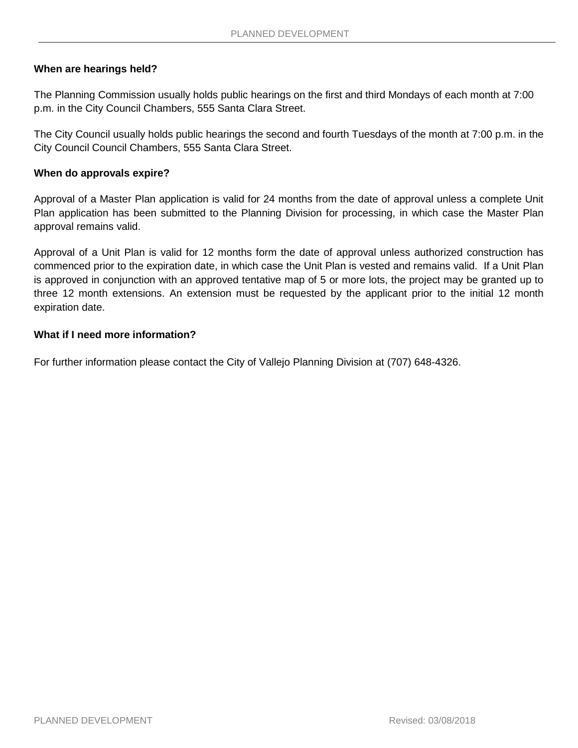## **When are hearings held?**

The Planning Commission usually holds public hearings on the first and third Mondays of each month at 7:00 p.m. in the City Council Chambers, 555 Santa Clara Street.

The City Council usually holds public hearings the second and fourth Tuesdays of the month at 7:00 p.m. in the City Council Council Chambers, 555 Santa Clara Street.

### **When do approvals expire?**

Approval of a Master Plan application is valid for 24 months from the date of approval unless a complete Unit Plan application has been submitted to the Planning Division for processing, in which case the Master Plan approval remains valid.

Approval of a Unit Plan is valid for 12 months form the date of approval unless authorized construction has commenced prior to the expiration date, in which case the Unit Plan is vested and remains valid. If a Unit Plan is approved in conjunction with an approved tentative map of 5 or more lots, the project may be granted up to three 12 month extensions. An extension must be requested by the applicant prior to the initial 12 month expiration date.

## **What if I need more information?**

For further information please contact the City of Vallejo Planning Division at (707) 648-4326.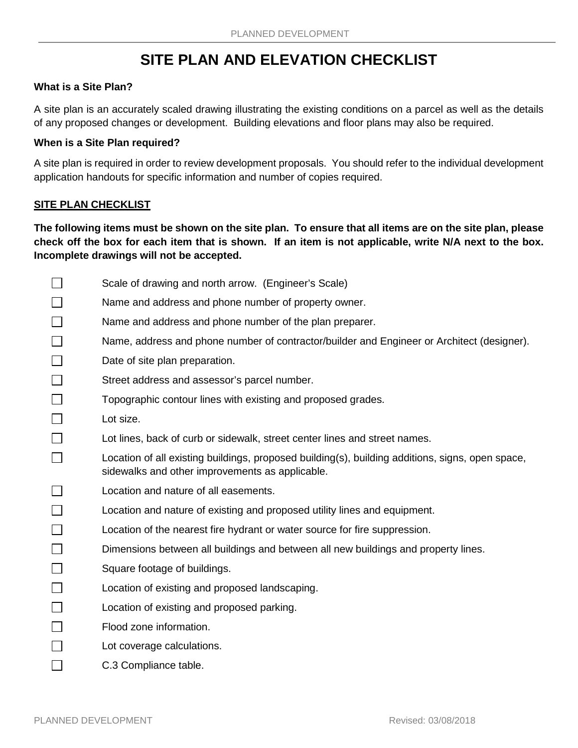## **SITE PLAN AND ELEVATION CHECKLIST**

### **What is a Site Plan?**

A site plan is an accurately scaled drawing illustrating the existing conditions on a parcel as well as the details of any proposed changes or development. Building elevations and floor plans may also be required.

### **When is a Site Plan required?**

A site plan is required in order to review development proposals. You should refer to the individual development application handouts for specific information and number of copies required.

## **SITE PLAN CHECKLIST**

**The following items must be shown on the site plan. To ensure that all items are on the site plan, please check off the box for each item that is shown. If an item is not applicable, write N/A next to the box. Incomplete drawings will not be accepted.** 

 $\Box$ Scale of drawing and north arrow. (Engineer's Scale)  $\Box$ Name and address and phone number of property owner.  $\Box$ Name and address and phone number of the plan preparer.  $\Box$ Name, address and phone number of contractor/builder and Engineer or Architect (designer).  $\Box$ Date of site plan preparation.  $\Box$ Street address and assessor's parcel number.  $\Box$ Topographic contour lines with existing and proposed grades.  $\Box$ Lot size.  $\Box$ Lot lines, back of curb or sidewalk, street center lines and street names.  $\Box$ Location of all existing buildings, proposed building(s), building additions, signs, open space, sidewalks and other improvements as applicable.  $\Box$ Location and nature of all easements. П Location and nature of existing and proposed utility lines and equipment.  $\Box$ Location of the nearest fire hydrant or water source for fire suppression.  $\Box$ Dimensions between all buildings and between all new buildings and property lines. П Square footage of buildings.  $\Box$ Location of existing and proposed landscaping.  $\Box$ Location of existing and proposed parking.  $\Box$ Flood zone information.  $\Box$ Lot coverage calculations. П C.3 Compliance table.